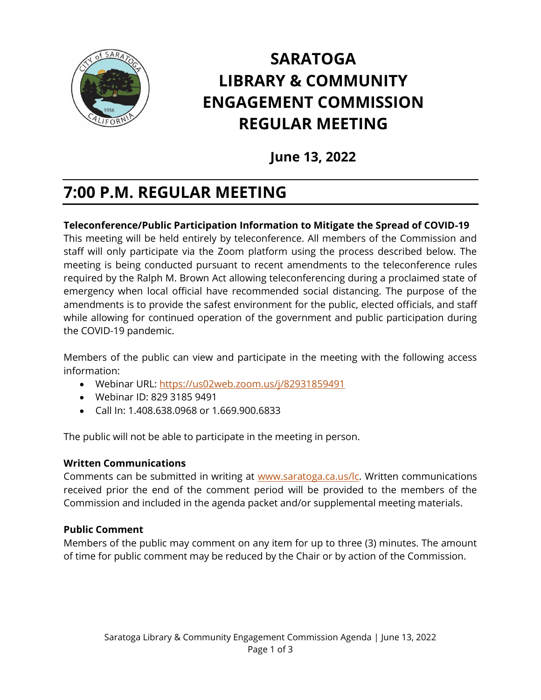

# **SARATOGA LIBRARY & COMMUNITY ENGAGEMENT COMMISSION REGULAR MEETING**

**June 13, 2022**

# **7:00 P.M. REGULAR MEETING**

# **Teleconference/Public Participation Information to Mitigate the Spread of COVID**‐**19**

This meeting will be held entirely by teleconference. All members of the Commission and staff will only participate via the Zoom platform using the process described below. The meeting is being conducted pursuant to recent amendments to the teleconference rules required by the Ralph M. Brown Act allowing teleconferencing during a proclaimed state of emergency when local official have recommended social distancing. The purpose of the amendments is to provide the safest environment for the public, elected officials, and staff while allowing for continued operation of the government and public participation during the COVID-19 pandemic.

Members of the public can view and participate in the meeting with the following access information:

- Webinar URL:<https://us02web.zoom.us/j/82931859491>
- Webinar ID: 829 3185 9491
- Call In: 1.408.638.0968 or 1.669.900.6833

The public will not be able to participate in the meeting in person.

#### **Written Communications**

Comments can be submitted in writing at [www.saratoga.ca.us/lc.](http://www.saratoga.ca.us/lc) Written communications received prior the end of the comment period will be provided to the members of the Commission and included in the agenda packet and/or supplemental meeting materials.

#### **Public Comment**

Members of the public may comment on any item for up to three (3) minutes. The amount of time for public comment may be reduced by the Chair or by action of the Commission.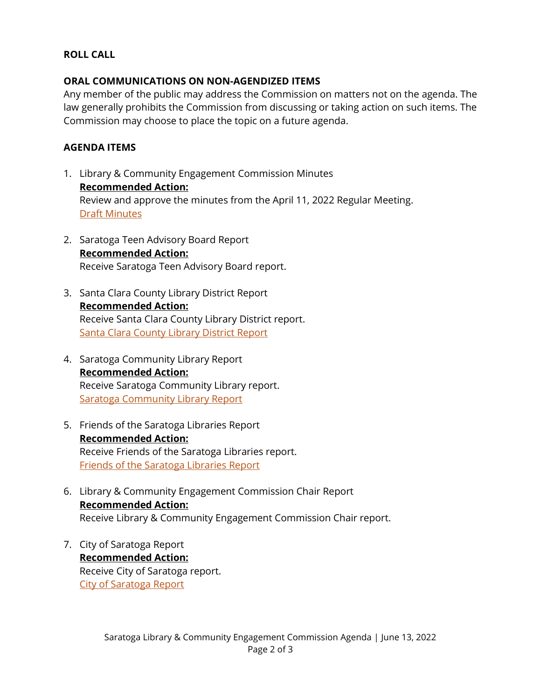# **ROLL CALL**

# **ORAL COMMUNICATIONS ON NON-AGENDIZED ITEMS**

Any member of the public may address the Commission on matters not on the agenda. The law generally prohibits the Commission from discussing or taking action on such items. The Commission may choose to place the topic on a future agenda.

# **AGENDA ITEMS**

- 1. Library & Community Engagement Commission Minutes **Recommended Action:** Review and approve the minutes from the April 11, 2022 Regular Meeting. [Draft Minutes](https://legistarweb-production.s3.amazonaws.com/uploads/attachment/pdf/1419445/2022_04_11_Library_Community_Engagment_Commission_Minutes.pdf)
- 2. Saratoga Teen Advisory Board Report **Recommended Action:** Receive Saratoga Teen Advisory Board report.
- 3. Santa Clara County Library District Report **Recommended Action:** Receive Santa Clara County Library District report. [Santa Clara County Library District Report](https://legistarweb-production.s3.amazonaws.com/uploads/attachment/pdf/1419451/Santa_Clara_County_Library_District_Report.pdf)
- 4. Saratoga Community Library Report **Recommended Action:** Receive Saratoga Community Library report. [Saratoga Community Library Report](https://legistarweb-production.s3.amazonaws.com/uploads/attachment/pdf/1419455/Saratoga_Library_Report.pdf)
- 5. Friends of the Saratoga Libraries Report **Recommended Action:** Receive Friends of the Saratoga Libraries report. [Friends of the Saratoga Libraries Report](https://legistarweb-production.s3.amazonaws.com/uploads/attachment/pdf/1419456/Friends_Report.pdf)
- 6. Library & Community Engagement Commission Chair Report **Recommended Action:** Receive Library & Community Engagement Commission Chair report.
- 7. City of Saratoga Report **Recommended Action:** Receive City of Saratoga report. [City of Saratoga Report](https://legistarweb-production.s3.amazonaws.com/uploads/attachment/pdf/1419475/City_Report.pdf)